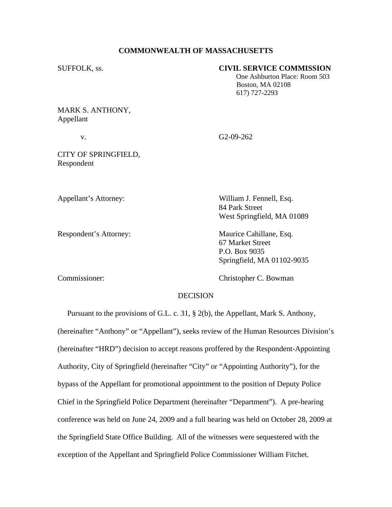## **COMMONWEALTH OF MASSACHUSETTS**

# SUFFOLK, ss. **CIVIL SERVICE COMMISSION**

 One Ashburton Place: Room 503 Boston, MA 02108 617) 727-2293

MARK S. ANTHONY, Appellant

v. G2-09-262

84 Park Street

CITY OF SPRINGFIELD, Respondent

Appellant's Attorney: William J. Fennell, Esq.

Respondent's Attorney: Maurice Cahillane, Esq. 67 Market Street

West Springfield, MA 01089

 P.O. Box 9035 Springfield, MA 01102-9035

Commissioner: Christopher C. Bowman

# **DECISION**

 Pursuant to the provisions of G.L. c. 31, § 2(b), the Appellant, Mark S. Anthony, (hereinafter "Anthony" or "Appellant"), seeks review of the Human Resources Division's (hereinafter "HRD") decision to accept reasons proffered by the Respondent-Appointing Authority, City of Springfield (hereinafter "City" or "Appointing Authority"), for the bypass of the Appellant for promotional appointment to the position of Deputy Police Chief in the Springfield Police Department (hereinafter "Department"). A pre-hearing conference was held on June 24, 2009 and a full hearing was held on October 28, 2009 at the Springfield State Office Building. All of the witnesses were sequestered with the exception of the Appellant and Springfield Police Commissioner William Fitchet.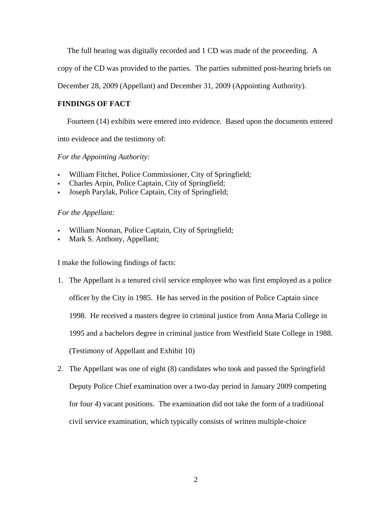The full hearing was digitally recorded and 1 CD was made of the proceeding. A

copy of the CD was provided to the parties. The parties submitted post-hearing briefs on

December 28, 2009 (Appellant) and December 31, 2009 (Appointing Authority).

# **FINDINGS OF FACT**

Fourteen (14) exhibits were entered into evidence. Based upon the documents entered

into evidence and the testimony of:

# *For the Appointing Authority:*

- William Fitchet, Police Commissioner, City of Springfield;
- Charles Arpin, Police Captain, City of Springfield;
- Joseph Parylak, Police Captain, City of Springfield;

## *For the Appellant:*

- William Noonan, Police Captain, City of Springfield;
- Mark S. Anthony, Appellant;

I make the following findings of facts:

- 1. The Appellant is a tenured civil service employee who was first employed as a police officer by the City in 1985. He has served in the position of Police Captain since 1998. He received a masters degree in criminal justice from Anna Maria College in 1995 and a bachelors degree in criminal justice from Westfield State College in 1988. (Testimony of Appellant and Exhibit 10)
- 2. The Appellant was one of eight (8) candidates who took and passed the Springfield Deputy Police Chief examination over a two-day period in January 2009 competing for four 4) vacant positions. The examination did not take the form of a traditional civil service examination, which typically consists of written multiple-choice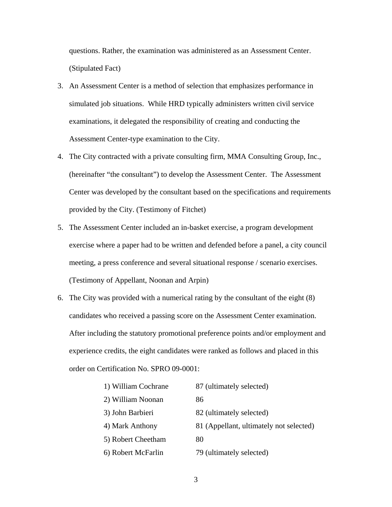questions. Rather, the examination was administered as an Assessment Center. (Stipulated Fact)

- 3. An Assessment Center is a method of selection that emphasizes performance in simulated job situations. While HRD typically administers written civil service examinations, it delegated the responsibility of creating and conducting the Assessment Center-type examination to the City.
- 4. The City contracted with a private consulting firm, MMA Consulting Group, Inc., (hereinafter "the consultant") to develop the Assessment Center. The Assessment Center was developed by the consultant based on the specifications and requirements provided by the City. (Testimony of Fitchet)
- 5. The Assessment Center included an in-basket exercise, a program development exercise where a paper had to be written and defended before a panel, a city council meeting, a press conference and several situational response / scenario exercises. (Testimony of Appellant, Noonan and Arpin)
- 6. The City was provided with a numerical rating by the consultant of the eight (8) candidates who received a passing score on the Assessment Center examination. After including the statutory promotional preference points and/or employment and experience credits, the eight candidates were ranked as follows and placed in this order on Certification No. SPRO 09-0001:

| 1) William Cochrane | 87 (ultimately selected)                |  |
|---------------------|-----------------------------------------|--|
| 2) William Noonan   | 86                                      |  |
| 3) John Barbieri    | 82 (ultimately selected)                |  |
| 4) Mark Anthony     | 81 (Appellant, ultimately not selected) |  |
| 5) Robert Cheetham  | 80                                      |  |
| 6) Robert McFarlin  | 79 (ultimately selected)                |  |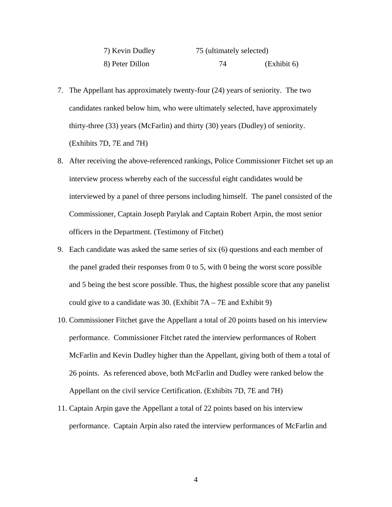| 7) Kevin Dudley | 75 (ultimately selected) |             |
|-----------------|--------------------------|-------------|
| 8) Peter Dillon |                          | (Exhibit 6) |

- 7. The Appellant has approximately twenty-four (24) years of seniority. The two candidates ranked below him, who were ultimately selected, have approximately thirty-three (33) years (McFarlin) and thirty (30) years (Dudley) of seniority. (Exhibits 7D, 7E and 7H)
- 8. After receiving the above-referenced rankings, Police Commissioner Fitchet set up an interview process whereby each of the successful eight candidates would be interviewed by a panel of three persons including himself. The panel consisted of the Commissioner, Captain Joseph Parylak and Captain Robert Arpin, the most senior officers in the Department. (Testimony of Fitchet)
- 9. Each candidate was asked the same series of six (6) questions and each member of the panel graded their responses from 0 to 5, with 0 being the worst score possible and 5 being the best score possible. Thus, the highest possible score that any panelist could give to a candidate was 30. (Exhibit  $7A - 7E$  and Exhibit 9)
- 10. Commissioner Fitchet gave the Appellant a total of 20 points based on his interview performance. Commissioner Fitchet rated the interview performances of Robert McFarlin and Kevin Dudley higher than the Appellant, giving both of them a total of 26 points. As referenced above, both McFarlin and Dudley were ranked below the Appellant on the civil service Certification. (Exhibits 7D, 7E and 7H)
- 11. Captain Arpin gave the Appellant a total of 22 points based on his interview performance. Captain Arpin also rated the interview performances of McFarlin and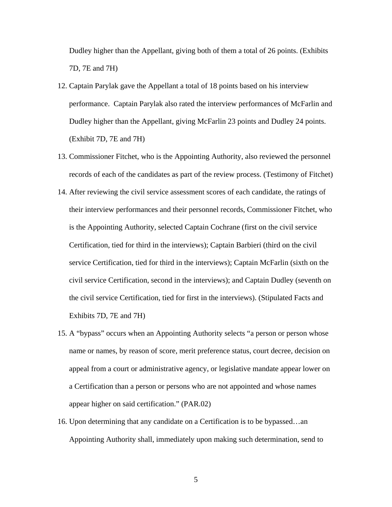Dudley higher than the Appellant, giving both of them a total of 26 points. (Exhibits 7D, 7E and 7H)

- 12. Captain Parylak gave the Appellant a total of 18 points based on his interview performance. Captain Parylak also rated the interview performances of McFarlin and Dudley higher than the Appellant, giving McFarlin 23 points and Dudley 24 points. (Exhibit 7D, 7E and 7H)
- 13. Commissioner Fitchet, who is the Appointing Authority, also reviewed the personnel records of each of the candidates as part of the review process. (Testimony of Fitchet)
- 14. After reviewing the civil service assessment scores of each candidate, the ratings of their interview performances and their personnel records, Commissioner Fitchet, who is the Appointing Authority, selected Captain Cochrane (first on the civil service Certification, tied for third in the interviews); Captain Barbieri (third on the civil service Certification, tied for third in the interviews); Captain McFarlin (sixth on the civil service Certification, second in the interviews); and Captain Dudley (seventh on the civil service Certification, tied for first in the interviews). (Stipulated Facts and Exhibits 7D, 7E and 7H)
- 15. A "bypass" occurs when an Appointing Authority selects "a person or person whose name or names, by reason of score, merit preference status, court decree, decision on appeal from a court or administrative agency, or legislative mandate appear lower on a Certification than a person or persons who are not appointed and whose names appear higher on said certification." (PAR.02)
- 16. Upon determining that any candidate on a Certification is to be bypassed…an Appointing Authority shall, immediately upon making such determination, send to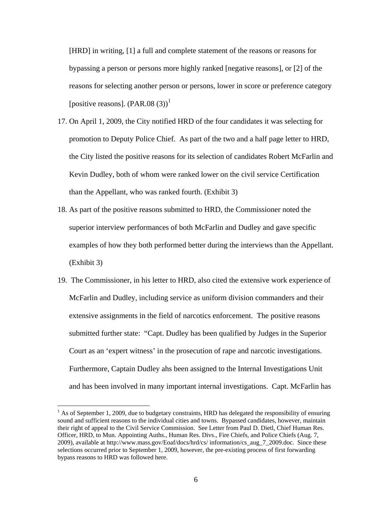[HRD] in writing, [1] a full and complete statement of the reasons or reasons for bypassing a person or persons more highly ranked [negative reasons], or [2] of the reasons for selecting another person or persons, lower in score or preference category [positive reasons].  $(PAR.08 (3))^1$  $(PAR.08 (3))^1$ 

- 17. On April 1, 2009, the City notified HRD of the four candidates it was selecting for promotion to Deputy Police Chief. As part of the two and a half page letter to HRD, the City listed the positive reasons for its selection of candidates Robert McFarlin and Kevin Dudley, both of whom were ranked lower on the civil service Certification than the Appellant, who was ranked fourth. (Exhibit 3)
- 18. As part of the positive reasons submitted to HRD, the Commissioner noted the superior interview performances of both McFarlin and Dudley and gave specific examples of how they both performed better during the interviews than the Appellant. (Exhibit 3)
- 19. The Commissioner, in his letter to HRD, also cited the extensive work experience of McFarlin and Dudley, including service as uniform division commanders and their extensive assignments in the field of narcotics enforcement. The positive reasons submitted further state: "Capt. Dudley has been qualified by Judges in the Superior Court as an 'expert witness' in the prosecution of rape and narcotic investigations. Furthermore, Captain Dudley ahs been assigned to the Internal Investigations Unit and has been involved in many important internal investigations. Capt. McFarlin has

 $\overline{a}$ 

<span id="page-5-0"></span> $<sup>1</sup>$  As of September 1, 2009, due to budgetary constraints, HRD has delegated the responsibility of ensuring</sup> sound and sufficient reasons to the individual cities and towns. Bypassed candidates, however, maintain their right of appeal to the Civil Service Commission. See Letter from Paul D. Dietl, Chief Human Res. Officer, HRD, to Mun. Appointing Auths., Human Res. Divs., Fire Chiefs, and Police Chiefs (Aug. 7, 2009), available at http://www.mass.gov/Eoaf/docs/hrd/cs/ information/cs\_aug\_7\_2009.doc. Since these selections occurred prior to September 1, 2009, however, the pre-existing process of first forwarding bypass reasons to HRD was followed here.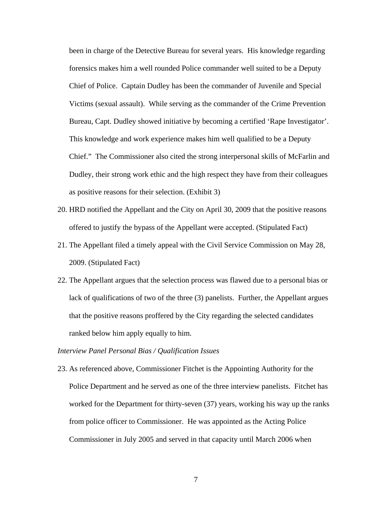been in charge of the Detective Bureau for several years. His knowledge regarding forensics makes him a well rounded Police commander well suited to be a Deputy Chief of Police. Captain Dudley has been the commander of Juvenile and Special Victims (sexual assault). While serving as the commander of the Crime Prevention Bureau, Capt. Dudley showed initiative by becoming a certified 'Rape Investigator'. This knowledge and work experience makes him well qualified to be a Deputy Chief." The Commissioner also cited the strong interpersonal skills of McFarlin and Dudley, their strong work ethic and the high respect they have from their colleagues as positive reasons for their selection. (Exhibit 3)

- 20. HRD notified the Appellant and the City on April 30, 2009 that the positive reasons offered to justify the bypass of the Appellant were accepted. (Stipulated Fact)
- 21. The Appellant filed a timely appeal with the Civil Service Commission on May 28, 2009. (Stipulated Fact)
- 22. The Appellant argues that the selection process was flawed due to a personal bias or lack of qualifications of two of the three (3) panelists. Further, the Appellant argues that the positive reasons proffered by the City regarding the selected candidates ranked below him apply equally to him.

#### *Interview Panel Personal Bias / Qualification Issues*

23. As referenced above, Commissioner Fitchet is the Appointing Authority for the Police Department and he served as one of the three interview panelists. Fitchet has worked for the Department for thirty-seven (37) years, working his way up the ranks from police officer to Commissioner. He was appointed as the Acting Police Commissioner in July 2005 and served in that capacity until March 2006 when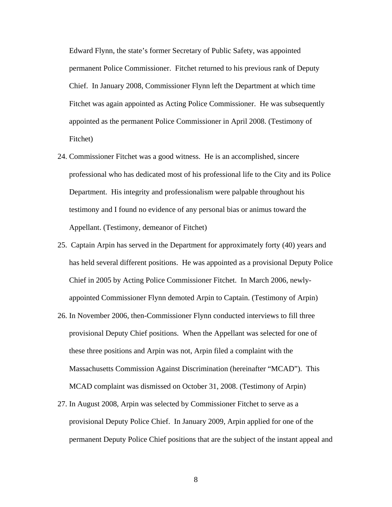Edward Flynn, the state's former Secretary of Public Safety, was appointed permanent Police Commissioner. Fitchet returned to his previous rank of Deputy Chief. In January 2008, Commissioner Flynn left the Department at which time Fitchet was again appointed as Acting Police Commissioner. He was subsequently appointed as the permanent Police Commissioner in April 2008. (Testimony of Fitchet)

- 24. Commissioner Fitchet was a good witness. He is an accomplished, sincere professional who has dedicated most of his professional life to the City and its Police Department. His integrity and professionalism were palpable throughout his testimony and I found no evidence of any personal bias or animus toward the Appellant. (Testimony, demeanor of Fitchet)
- 25. Captain Arpin has served in the Department for approximately forty (40) years and has held several different positions. He was appointed as a provisional Deputy Police Chief in 2005 by Acting Police Commissioner Fitchet. In March 2006, newlyappointed Commissioner Flynn demoted Arpin to Captain. (Testimony of Arpin)
- 26. In November 2006, then-Commissioner Flynn conducted interviews to fill three provisional Deputy Chief positions. When the Appellant was selected for one of these three positions and Arpin was not, Arpin filed a complaint with the Massachusetts Commission Against Discrimination (hereinafter "MCAD"). This MCAD complaint was dismissed on October 31, 2008. (Testimony of Arpin)
- 27. In August 2008, Arpin was selected by Commissioner Fitchet to serve as a provisional Deputy Police Chief. In January 2009, Arpin applied for one of the permanent Deputy Police Chief positions that are the subject of the instant appeal and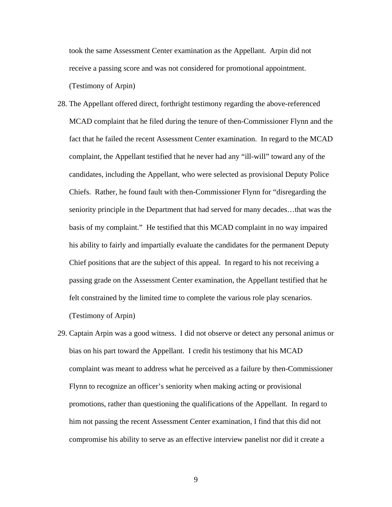took the same Assessment Center examination as the Appellant. Arpin did not receive a passing score and was not considered for promotional appointment. (Testimony of Arpin)

- 28. The Appellant offered direct, forthright testimony regarding the above-referenced MCAD complaint that he filed during the tenure of then-Commissioner Flynn and the fact that he failed the recent Assessment Center examination. In regard to the MCAD complaint, the Appellant testified that he never had any "ill-will" toward any of the candidates, including the Appellant, who were selected as provisional Deputy Police Chiefs. Rather, he found fault with then-Commissioner Flynn for "disregarding the seniority principle in the Department that had served for many decades…that was the basis of my complaint." He testified that this MCAD complaint in no way impaired his ability to fairly and impartially evaluate the candidates for the permanent Deputy Chief positions that are the subject of this appeal. In regard to his not receiving a passing grade on the Assessment Center examination, the Appellant testified that he felt constrained by the limited time to complete the various role play scenarios. (Testimony of Arpin)
- 29. Captain Arpin was a good witness. I did not observe or detect any personal animus or bias on his part toward the Appellant. I credit his testimony that his MCAD complaint was meant to address what he perceived as a failure by then-Commissioner Flynn to recognize an officer's seniority when making acting or provisional promotions, rather than questioning the qualifications of the Appellant. In regard to him not passing the recent Assessment Center examination, I find that this did not compromise his ability to serve as an effective interview panelist nor did it create a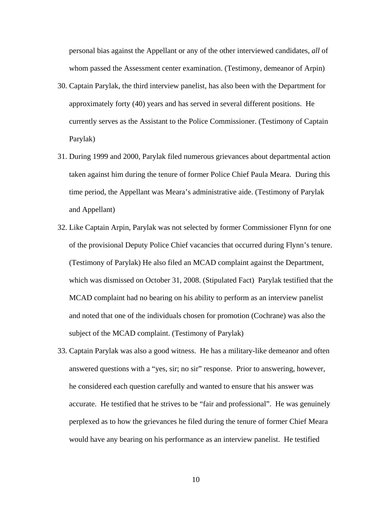personal bias against the Appellant or any of the other interviewed candidates, *all* of whom passed the Assessment center examination. (Testimony, demeanor of Arpin)

- 30. Captain Parylak, the third interview panelist, has also been with the Department for approximately forty (40) years and has served in several different positions. He currently serves as the Assistant to the Police Commissioner. (Testimony of Captain Parylak)
- 31. During 1999 and 2000, Parylak filed numerous grievances about departmental action taken against him during the tenure of former Police Chief Paula Meara. During this time period, the Appellant was Meara's administrative aide. (Testimony of Parylak and Appellant)
- 32. Like Captain Arpin, Parylak was not selected by former Commissioner Flynn for one of the provisional Deputy Police Chief vacancies that occurred during Flynn's tenure. (Testimony of Parylak) He also filed an MCAD complaint against the Department, which was dismissed on October 31, 2008. (Stipulated Fact) Parylak testified that the MCAD complaint had no bearing on his ability to perform as an interview panelist and noted that one of the individuals chosen for promotion (Cochrane) was also the subject of the MCAD complaint. (Testimony of Parylak)
- 33. Captain Parylak was also a good witness. He has a military-like demeanor and often answered questions with a "yes, sir; no sir" response. Prior to answering, however, he considered each question carefully and wanted to ensure that his answer was accurate. He testified that he strives to be "fair and professional". He was genuinely perplexed as to how the grievances he filed during the tenure of former Chief Meara would have any bearing on his performance as an interview panelist. He testified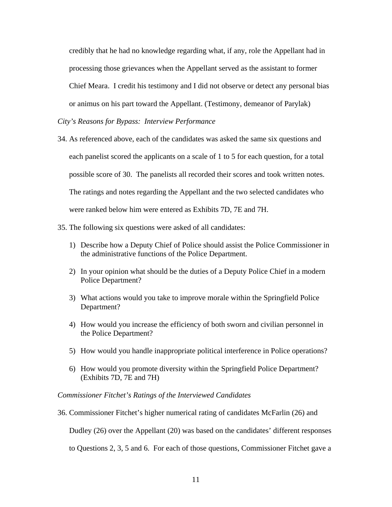credibly that he had no knowledge regarding what, if any, role the Appellant had in processing those grievances when the Appellant served as the assistant to former Chief Meara. I credit his testimony and I did not observe or detect any personal bias or animus on his part toward the Appellant. (Testimony, demeanor of Parylak)

## *City's Reasons for Bypass: Interview Performance*

- 34. As referenced above, each of the candidates was asked the same six questions and each panelist scored the applicants on a scale of 1 to 5 for each question, for a total possible score of 30. The panelists all recorded their scores and took written notes. The ratings and notes regarding the Appellant and the two selected candidates who were ranked below him were entered as Exhibits 7D, 7E and 7H.
- 35. The following six questions were asked of all candidates:
	- 1) Describe how a Deputy Chief of Police should assist the Police Commissioner in the administrative functions of the Police Department.
	- 2) In your opinion what should be the duties of a Deputy Police Chief in a modern Police Department?
	- 3) What actions would you take to improve morale within the Springfield Police Department?
	- 4) How would you increase the efficiency of both sworn and civilian personnel in the Police Department?
	- 5) How would you handle inappropriate political interference in Police operations?
	- 6) How would you promote diversity within the Springfield Police Department? (Exhibits 7D, 7E and 7H)

#### *Commissioner Fitchet's Ratings of the Interviewed Candidates*

36. Commissioner Fitchet's higher numerical rating of candidates McFarlin (26) and

Dudley (26) over the Appellant (20) was based on the candidates' different responses

to Questions 2, 3, 5 and 6. For each of those questions, Commissioner Fitchet gave a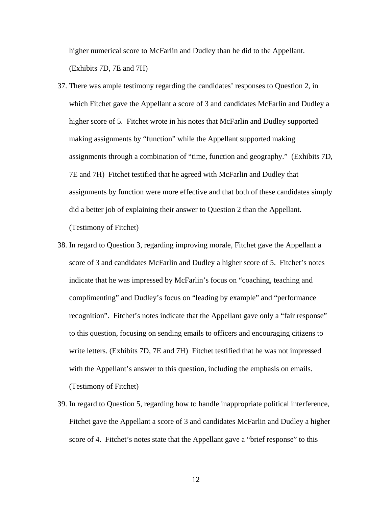higher numerical score to McFarlin and Dudley than he did to the Appellant. (Exhibits 7D, 7E and 7H)

- 37. There was ample testimony regarding the candidates' responses to Question 2, in which Fitchet gave the Appellant a score of 3 and candidates McFarlin and Dudley a higher score of 5. Fitchet wrote in his notes that McFarlin and Dudley supported making assignments by "function" while the Appellant supported making assignments through a combination of "time, function and geography." (Exhibits 7D, 7E and 7H) Fitchet testified that he agreed with McFarlin and Dudley that assignments by function were more effective and that both of these candidates simply did a better job of explaining their answer to Question 2 than the Appellant. (Testimony of Fitchet)
- 38. In regard to Question 3, regarding improving morale, Fitchet gave the Appellant a score of 3 and candidates McFarlin and Dudley a higher score of 5. Fitchet's notes indicate that he was impressed by McFarlin's focus on "coaching, teaching and complimenting" and Dudley's focus on "leading by example" and "performance recognition". Fitchet's notes indicate that the Appellant gave only a "fair response" to this question, focusing on sending emails to officers and encouraging citizens to write letters. (Exhibits 7D, 7E and 7H) Fitchet testified that he was not impressed with the Appellant's answer to this question, including the emphasis on emails. (Testimony of Fitchet)
- 39. In regard to Question 5, regarding how to handle inappropriate political interference, Fitchet gave the Appellant a score of 3 and candidates McFarlin and Dudley a higher score of 4. Fitchet's notes state that the Appellant gave a "brief response" to this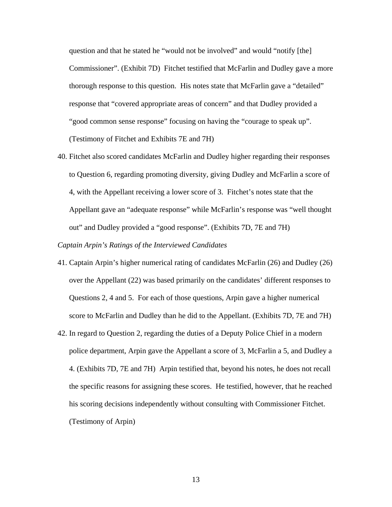question and that he stated he "would not be involved" and would "notify [the] Commissioner". (Exhibit 7D) Fitchet testified that McFarlin and Dudley gave a more thorough response to this question. His notes state that McFarlin gave a "detailed" response that "covered appropriate areas of concern" and that Dudley provided a "good common sense response" focusing on having the "courage to speak up". (Testimony of Fitchet and Exhibits 7E and 7H)

40. Fitchet also scored candidates McFarlin and Dudley higher regarding their responses to Question 6, regarding promoting diversity, giving Dudley and McFarlin a score of 4, with the Appellant receiving a lower score of 3. Fitchet's notes state that the Appellant gave an "adequate response" while McFarlin's response was "well thought out" and Dudley provided a "good response". (Exhibits 7D, 7E and 7H)

## *Captain Arpin's Ratings of the Interviewed Candidates*

- 41. Captain Arpin's higher numerical rating of candidates McFarlin (26) and Dudley (26) over the Appellant (22) was based primarily on the candidates' different responses to Questions 2, 4 and 5. For each of those questions, Arpin gave a higher numerical score to McFarlin and Dudley than he did to the Appellant. (Exhibits 7D, 7E and 7H)
- 42. In regard to Question 2, regarding the duties of a Deputy Police Chief in a modern police department, Arpin gave the Appellant a score of 3, McFarlin a 5, and Dudley a 4. (Exhibits 7D, 7E and 7H) Arpin testified that, beyond his notes, he does not recall the specific reasons for assigning these scores. He testified, however, that he reached his scoring decisions independently without consulting with Commissioner Fitchet. (Testimony of Arpin)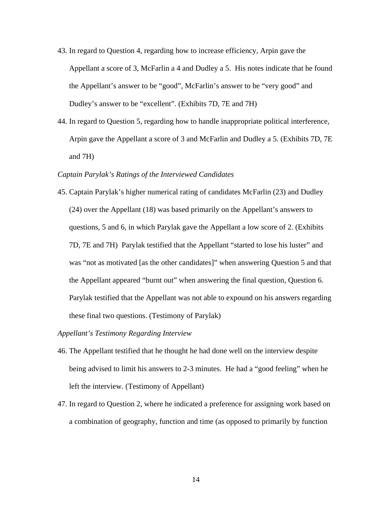- 43. In regard to Question 4, regarding how to increase efficiency, Arpin gave the Appellant a score of 3, McFarlin a 4 and Dudley a 5. His notes indicate that he found the Appellant's answer to be "good", McFarlin's answer to be "very good" and Dudley's answer to be "excellent". (Exhibits 7D, 7E and 7H)
- 44. In regard to Question 5, regarding how to handle inappropriate political interference, Arpin gave the Appellant a score of 3 and McFarlin and Dudley a 5. (Exhibits 7D, 7E and 7H)

#### *Captain Parylak's Ratings of the Interviewed Candidates*

45. Captain Parylak's higher numerical rating of candidates McFarlin (23) and Dudley (24) over the Appellant (18) was based primarily on the Appellant's answers to questions, 5 and 6, in which Parylak gave the Appellant a low score of 2. (Exhibits 7D, 7E and 7H) Parylak testified that the Appellant "started to lose his luster" and was "not as motivated [as the other candidates]" when answering Question 5 and that the Appellant appeared "burnt out" when answering the final question, Question 6. Parylak testified that the Appellant was not able to expound on his answers regarding these final two questions. (Testimony of Parylak)

# *Appellant's Testimony Regarding Interview*

- 46. The Appellant testified that he thought he had done well on the interview despite being advised to limit his answers to 2-3 minutes. He had a "good feeling" when he left the interview. (Testimony of Appellant)
- 47. In regard to Question 2, where he indicated a preference for assigning work based on a combination of geography, function and time (as opposed to primarily by function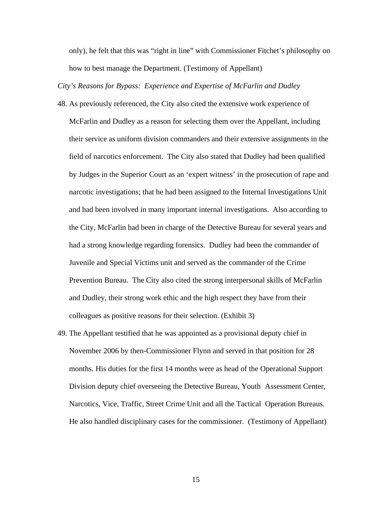only), he felt that this was "right in line" with Commissioner Fitchet's philosophy on how to best manage the Department. (Testimony of Appellant)

*City's Reasons for Bypass: Experience and Expertise of McFarlin and Dudley* 

- 48. As previously referenced, the City also cited the extensive work experience of McFarlin and Dudley as a reason for selecting them over the Appellant, including their service as uniform division commanders and their extensive assignments in the field of narcotics enforcement. The City also stated that Dudley had been qualified by Judges in the Superior Court as an 'expert witness' in the prosecution of rape and narcotic investigations; that he had been assigned to the Internal Investigations Unit and had been involved in many important internal investigations. Also according to the City, McFarlin had been in charge of the Detective Bureau for several years and had a strong knowledge regarding forensics. Dudley had been the commander of Juvenile and Special Victims unit and served as the commander of the Crime Prevention Bureau. The City also cited the strong interpersonal skills of McFarlin and Dudley, their strong work ethic and the high respect they have from their colleagues as positive reasons for their selection. (Exhibit 3)
- 49. The Appellant testified that he was appointed as a provisional deputy chief in November 2006 by then-Commissioner Flynn and served in that position for 28 months. His duties for the first 14 months were as head of the Operational Support Division deputy chief overseeing the Detective Bureau, Youth Assessment Center, Narcotics, Vice, Traffic, Street Crime Unit and all the Tactical Operation Bureaus. He also handled disciplinary cases for the commissioner. (Testimony of Appellant)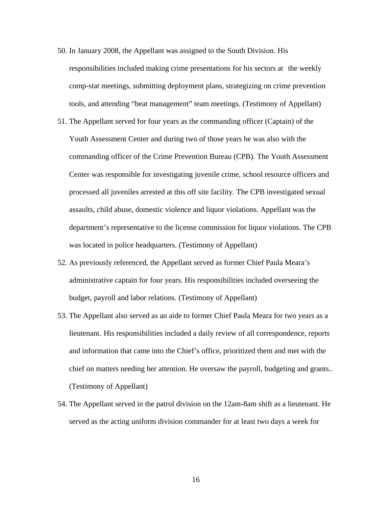- 50. In January 2008, the Appellant was assigned to the South Division. His responsibilities included making crime presentations for his sectors at the weekly comp-stat meetings, submitting deployment plans, strategizing on crime prevention tools, and attending "beat management" team meetings. (Testimony of Appellant)
- 51. The Appellant served for four years as the commanding officer (Captain) of the Youth Assessment Center and during two of those years he was also with the commanding officer of the Crime Prevention Bureau (CPB). The Youth Assessment Center was responsible for investigating juvenile crime, school resource officers and processed all juveniles arrested at this off site facility. The CPB investigated sexual assaults, child abuse, domestic violence and liquor violations. Appellant was the department's representative to the license commission for liquor violations. The CPB was located in police headquarters. (Testimony of Appellant)
- 52. As previously referenced, the Appellant served as former Chief Paula Meara's administrative captain for four years. His responsibilities included overseeing the budget, payroll and labor relations. (Testimony of Appellant)
- 53. The Appellant also served as an aide to former Chief Paula Meara for two years as a lieutenant. His responsibilities included a daily review of all correspondence, reports and information that came into the Chief's office, prioritized them and met with the chief on matters needing her attention. He oversaw the payroll, budgeting and grants.. (Testimony of Appellant)
- 54. The Appellant served in the patrol division on the 12am-8am shift as a lieutenant. He served as the acting uniform division commander for at least two days a week for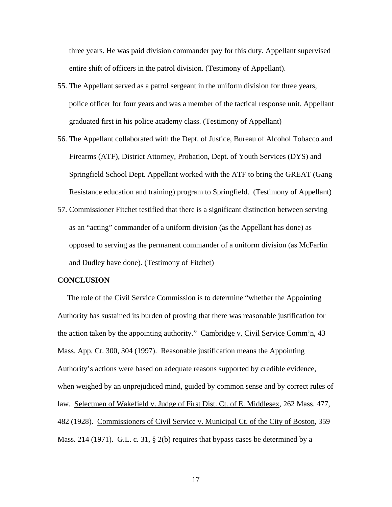three years. He was paid division commander pay for this duty. Appellant supervised entire shift of officers in the patrol division. (Testimony of Appellant).

- 55. The Appellant served as a patrol sergeant in the uniform division for three years, police officer for four years and was a member of the tactical response unit. Appellant graduated first in his police academy class. (Testimony of Appellant)
- 56. The Appellant collaborated with the Dept. of Justice, Bureau of Alcohol Tobacco and Firearms (ATF), District Attorney, Probation, Dept. of Youth Services (DYS) and Springfield School Dept. Appellant worked with the ATF to bring the GREAT (Gang Resistance education and training) program to Springfield. (Testimony of Appellant)
- 57. Commissioner Fitchet testified that there is a significant distinction between serving as an "acting" commander of a uniform division (as the Appellant has done) as opposed to serving as the permanent commander of a uniform division (as McFarlin and Dudley have done). (Testimony of Fitchet)

#### **CONCLUSION**

 The role of the Civil Service Commission is to determine "whether the Appointing Authority has sustained its burden of proving that there was reasonable justification for the action taken by the appointing authority." Cambridge v. Civil Service Comm'n, 43 Mass. App. Ct. 300, 304 (1997). Reasonable justification means the Appointing Authority's actions were based on adequate reasons supported by credible evidence, when weighed by an unprejudiced mind, guided by common sense and by correct rules of law. Selectmen of Wakefield v. Judge of First Dist. Ct. of E. Middlesex, 262 Mass. 477, 482 (1928). Commissioners of Civil Service v. Municipal Ct. of the City of Boston, 359 Mass. 214 (1971). G.L. c. 31, § 2(b) requires that bypass cases be determined by a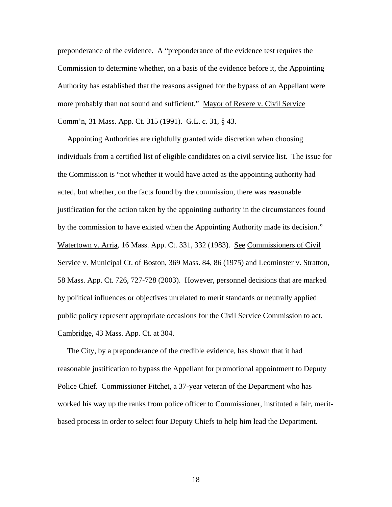preponderance of the evidence. A "preponderance of the evidence test requires the Commission to determine whether, on a basis of the evidence before it, the Appointing Authority has established that the reasons assigned for the bypass of an Appellant were more probably than not sound and sufficient." Mayor of Revere v. Civil Service Comm'n, 31 Mass. App. Ct. 315 (1991). G.L. c. 31, § 43.

 Appointing Authorities are rightfully granted wide discretion when choosing individuals from a certified list of eligible candidates on a civil service list. The issue for the Commission is "not whether it would have acted as the appointing authority had acted, but whether, on the facts found by the commission, there was reasonable justification for the action taken by the appointing authority in the circumstances found by the commission to have existed when the Appointing Authority made its decision." Watertown v. Arria, 16 Mass. App. Ct. 331, 332 (1983). See Commissioners of Civil Service v. Municipal Ct. of Boston, 369 Mass. 84, 86 (1975) and Leominster v. Stratton, 58 Mass. App. Ct. 726, 727-728 (2003). However, personnel decisions that are marked by political influences or objectives unrelated to merit standards or neutrally applied public policy represent appropriate occasions for the Civil Service Commission to act. Cambridge, 43 Mass. App. Ct. at 304.

 The City, by a preponderance of the credible evidence, has shown that it had reasonable justification to bypass the Appellant for promotional appointment to Deputy Police Chief. Commissioner Fitchet, a 37-year veteran of the Department who has worked his way up the ranks from police officer to Commissioner, instituted a fair, meritbased process in order to select four Deputy Chiefs to help him lead the Department.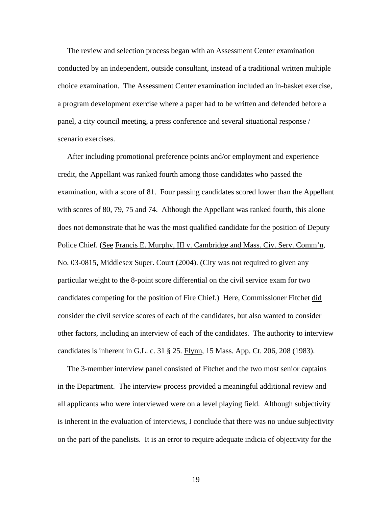The review and selection process began with an Assessment Center examination conducted by an independent, outside consultant, instead of a traditional written multiple choice examination. The Assessment Center examination included an in-basket exercise, a program development exercise where a paper had to be written and defended before a panel, a city council meeting, a press conference and several situational response / scenario exercises.

 After including promotional preference points and/or employment and experience credit, the Appellant was ranked fourth among those candidates who passed the examination, with a score of 81. Four passing candidates scored lower than the Appellant with scores of 80, 79, 75 and 74. Although the Appellant was ranked fourth, this alone does not demonstrate that he was the most qualified candidate for the position of Deputy Police Chief. (See Francis E. Murphy, III v. Cambridge and Mass. Civ. Serv. Comm'n, No. 03-0815, Middlesex Super. Court (2004). (City was not required to given any particular weight to the 8-point score differential on the civil service exam for two candidates competing for the position of Fire Chief.) Here, Commissioner Fitchet did consider the civil service scores of each of the candidates, but also wanted to consider other factors, including an interview of each of the candidates. The authority to interview candidates is inherent in G.L. c. 31 § 25. Flynn, 15 Mass. App. Ct. 206, 208 (1983).

 The 3-member interview panel consisted of Fitchet and the two most senior captains in the Department. The interview process provided a meaningful additional review and all applicants who were interviewed were on a level playing field. Although subjectivity is inherent in the evaluation of interviews, I conclude that there was no undue subjectivity on the part of the panelists. It is an error to require adequate indicia of objectivity for the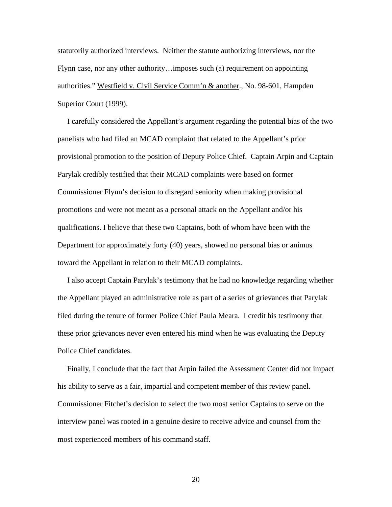statutorily authorized interviews. Neither the statute authorizing interviews, nor the Flynn case, nor any other authority…imposes such (a) requirement on appointing authorities." Westfield v. Civil Service Comm'n & another., No. 98-601, Hampden Superior Court (1999).

 I carefully considered the Appellant's argument regarding the potential bias of the two panelists who had filed an MCAD complaint that related to the Appellant's prior provisional promotion to the position of Deputy Police Chief. Captain Arpin and Captain Parylak credibly testified that their MCAD complaints were based on former Commissioner Flynn's decision to disregard seniority when making provisional promotions and were not meant as a personal attack on the Appellant and/or his qualifications. I believe that these two Captains, both of whom have been with the Department for approximately forty (40) years, showed no personal bias or animus toward the Appellant in relation to their MCAD complaints.

 I also accept Captain Parylak's testimony that he had no knowledge regarding whether the Appellant played an administrative role as part of a series of grievances that Parylak filed during the tenure of former Police Chief Paula Meara. I credit his testimony that these prior grievances never even entered his mind when he was evaluating the Deputy Police Chief candidates.

 Finally, I conclude that the fact that Arpin failed the Assessment Center did not impact his ability to serve as a fair, impartial and competent member of this review panel. Commissioner Fitchet's decision to select the two most senior Captains to serve on the interview panel was rooted in a genuine desire to receive advice and counsel from the most experienced members of his command staff.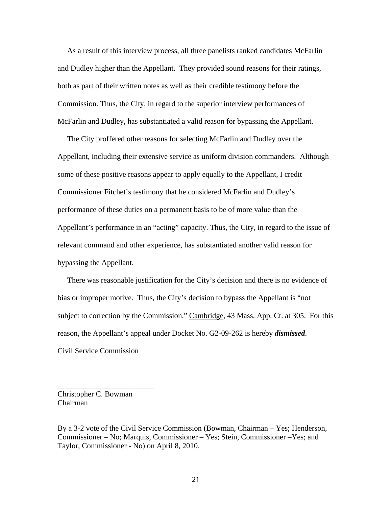As a result of this interview process, all three panelists ranked candidates McFarlin and Dudley higher than the Appellant. They provided sound reasons for their ratings, both as part of their written notes as well as their credible testimony before the Commission. Thus, the City, in regard to the superior interview performances of McFarlin and Dudley, has substantiated a valid reason for bypassing the Appellant.

 The City proffered other reasons for selecting McFarlin and Dudley over the Appellant, including their extensive service as uniform division commanders. Although some of these positive reasons appear to apply equally to the Appellant, I credit Commissioner Fitchet's testimony that he considered McFarlin and Dudley's performance of these duties on a permanent basis to be of more value than the Appellant's performance in an "acting" capacity. Thus, the City, in regard to the issue of relevant command and other experience, has substantiated another valid reason for bypassing the Appellant.

 There was reasonable justification for the City's decision and there is no evidence of bias or improper motive. Thus, the City's decision to bypass the Appellant is "not subject to correction by the Commission." Cambridge, 43 Mass. App. Ct. at 305. For this reason, the Appellant's appeal under Docket No. G2-09-262 is hereby *dismissed*. Civil Service Commission

Christopher C. Bowman Chairman

\_\_\_\_\_\_\_\_\_\_\_\_\_\_\_\_\_\_\_\_\_\_\_\_\_

By a 3-2 vote of the Civil Service Commission (Bowman, Chairman – Yes; Henderson, Commissioner – No; Marquis, Commissioner – Yes; Stein, Commissioner –Yes; and Taylor, Commissioner - No) on April 8, 2010.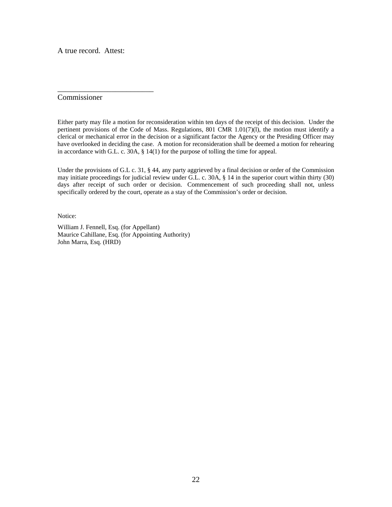A true record. Attest:

\_\_\_\_\_\_\_\_\_\_\_\_\_\_\_\_\_\_\_\_\_\_\_\_\_

Commissioner

Either party may file a motion for reconsideration within ten days of the receipt of this decision. Under the pertinent provisions of the Code of Mass. Regulations, 801 CMR 1.01(7)(l), the motion must identify a clerical or mechanical error in the decision or a significant factor the Agency or the Presiding Officer may have overlooked in deciding the case. A motion for reconsideration shall be deemed a motion for rehearing in accordance with G.L. c. 30A, § 14(1) for the purpose of tolling the time for appeal.

Under the provisions of G.L c. 31, § 44, any party aggrieved by a final decision or order of the Commission may initiate proceedings for judicial review under G.L. c. 30A, § 14 in the superior court within thirty (30) days after receipt of such order or decision. Commencement of such proceeding shall not, unless specifically ordered by the court, operate as a stay of the Commission's order or decision.

Notice:

William J. Fennell, Esq. (for Appellant) Maurice Cahillane, Esq. (for Appointing Authority) John Marra, Esq. (HRD)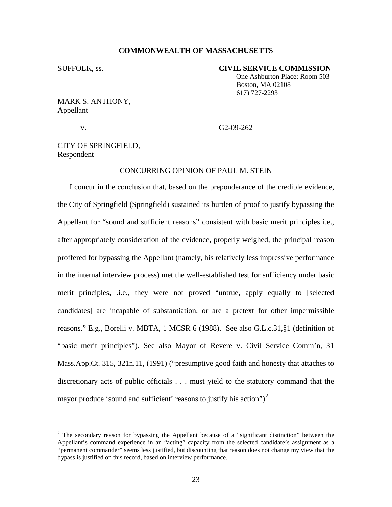#### **COMMONWEALTH OF MASSACHUSETTS**

#### SUFFOLK, ss. **CIVIL SERVICE COMMISSION**

 One Ashburton Place: Room 503 Boston, MA 02108 617) 727-2293

# MARK S. ANTHONY, Appellant

v. G2-09-262

CITY OF SPRINGFIELD, Respondent

# CONCURRING OPINION OF PAUL M. STEIN

I concur in the conclusion that, based on the preponderance of the credible evidence, the City of Springfield (Springfield) sustained its burden of proof to justify bypassing the Appellant for "sound and sufficient reasons" consistent with basic merit principles i.e., after appropriately consideration of the evidence, properly weighed, the principal reason proffered for bypassing the Appellant (namely, his relatively less impressive performance in the internal interview process) met the well-established test for sufficiency under basic merit principles, .i.e., they were not proved "untrue, apply equally to [selected candidates] are incapable of substantiation, or are a pretext for other impermissible reasons." E.g*.,* Borelli v. MBTA, 1 MCSR 6 (1988). See also G.L.c.31,§1 (definition of "basic merit principles"). See also Mayor of Revere v. Civil Service Comm'n, 31 Mass.App.Ct. 315, 321n.11, (1991) ("presumptive good faith and honesty that attaches to discretionary acts of public officials . . . must yield to the statutory command that the mayor produce 'sound and sufficient' reasons to justify his action")<sup>[2](#page-22-0)</sup>

<span id="page-22-0"></span><sup>&</sup>lt;sup>2</sup> The secondary reason for bypassing the Appellant because of a "significant distinction" between the Appellant's command experience in an "acting" capacity from the selected candidate's assignment as a "permanent commander" seems less justified, but discounting that reason does not change my view that the bypass is justified on this record, based on interview performance.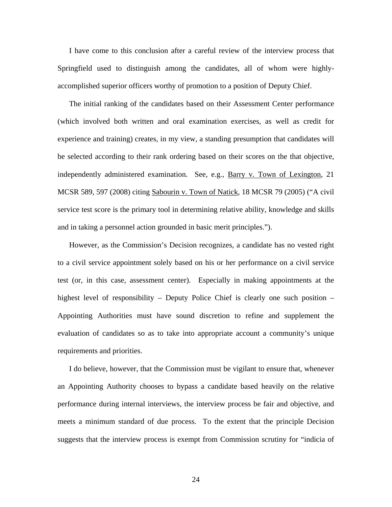I have come to this conclusion after a careful review of the interview process that Springfield used to distinguish among the candidates, all of whom were highlyaccomplished superior officers worthy of promotion to a position of Deputy Chief.

The initial ranking of the candidates based on their Assessment Center performance (which involved both written and oral examination exercises, as well as credit for experience and training) creates, in my view, a standing presumption that candidates will be selected according to their rank ordering based on their scores on the that objective, independently administered examination. See, e.g., Barry v. Town of Lexington, 21 MCSR 589, 597 (2008) citing Sabourin v. Town of Natick, 18 MCSR 79 (2005) ("A civil service test score is the primary tool in determining relative ability, knowledge and skills and in taking a personnel action grounded in basic merit principles.").

However, as the Commission's Decision recognizes, a candidate has no vested right to a civil service appointment solely based on his or her performance on a civil service test (or, in this case, assessment center). Especially in making appointments at the highest level of responsibility – Deputy Police Chief is clearly one such position – Appointing Authorities must have sound discretion to refine and supplement the evaluation of candidates so as to take into appropriate account a community's unique requirements and priorities.

 I do believe, however, that the Commission must be vigilant to ensure that, whenever an Appointing Authority chooses to bypass a candidate based heavily on the relative performance during internal interviews, the interview process be fair and objective, and meets a minimum standard of due process. To the extent that the principle Decision suggests that the interview process is exempt from Commission scrutiny for "indicia of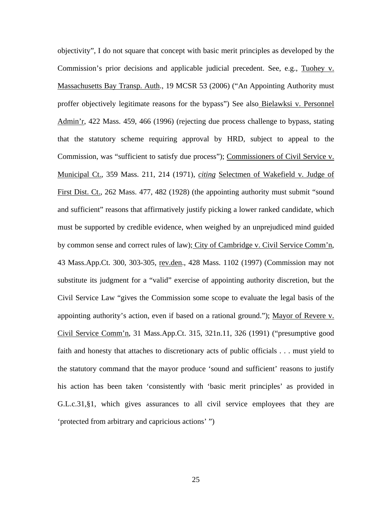objectivity", I do not square that concept with basic merit principles as developed by the Commission's prior decisions and applicable judicial precedent. See, e.g., Tuohey v. Massachusetts Bay Transp. Auth., 19 MCSR 53 (2006) ("An Appointing Authority must proffer objectively legitimate reasons for the bypass") See also Bielawksi v. Personnel Admin'r, 422 Mass. 459, 466 (1996) (rejecting due process challenge to bypass, stating that the statutory scheme requiring approval by HRD, subject to appeal to the Commission, was "sufficient to satisfy due process"); Commissioners of Civil Service v. Municipal Ct., 359 Mass. 211, 214 (1971), *citing* Selectmen of Wakefield v. Judge of First Dist. Ct., 262 Mass. 477, 482 (1928) (the appointing authority must submit "sound and sufficient" reasons that affirmatively justify picking a lower ranked candidate, which must be supported by credible evidence, when weighed by an unprejudiced mind guided by common sense and correct rules of law); City of Cambridge v. Civil Service Comm'n, 43 Mass.App.Ct. 300, 303-305, rev.den., 428 Mass. 1102 (1997) (Commission may not substitute its judgment for a "valid" exercise of appointing authority discretion, but the Civil Service Law "gives the Commission some scope to evaluate the legal basis of the appointing authority's action, even if based on a rational ground."); Mayor of Revere v. Civil Service Comm'n, 31 Mass.App.Ct. 315, 321n.11, 326 (1991) ("presumptive good faith and honesty that attaches to discretionary acts of public officials . . . must yield to the statutory command that the mayor produce 'sound and sufficient' reasons to justify his action has been taken 'consistently with 'basic merit principles' as provided in G.L.c.31,§1, which gives assurances to all civil service employees that they are 'protected from arbitrary and capricious actions' ")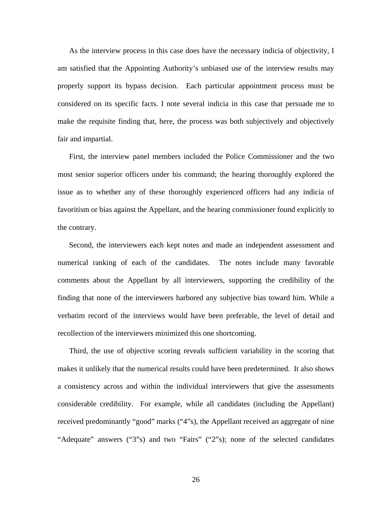As the interview process in this case does have the necessary indicia of objectivity, I am satisfied that the Appointing Authority's unbiased use of the interview results may properly support its bypass decision. Each particular appointment process must be considered on its specific facts. I note several indicia in this case that persuade me to make the requisite finding that, here, the process was both subjectively and objectively fair and impartial.

 First, the interview panel members included the Police Commissioner and the two most senior superior officers under his command; the hearing thoroughly explored the issue as to whether any of these thoroughly experienced officers had any indicia of favoritism or bias against the Appellant, and the hearing commissioner found explicitly to the contrary.

 Second, the interviewers each kept notes and made an independent assessment and numerical ranking of each of the candidates. The notes include many favorable comments about the Appellant by all interviewers, supporting the credibility of the finding that none of the interviewers harbored any subjective bias toward him. While a verbatim record of the interviews would have been preferable, the level of detail and recollection of the interviewers minimized this one shortcoming.

 Third, the use of objective scoring reveals sufficient variability in the scoring that makes it unlikely that the numerical results could have been predetermined. It also shows a consistency across and within the individual interviewers that give the assessments considerable credibility. For example, while all candidates (including the Appellant) received predominantly "good" marks ("4"s), the Appellant received an aggregate of nine "Adequate" answers ("3"s) and two "Fairs" ("2"s); none of the selected candidates